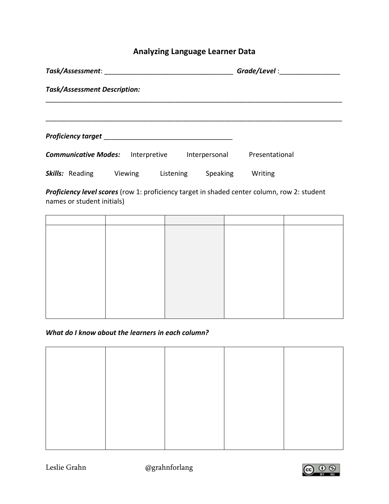# **Analyzing Language Learner Data**

| Task/Assessment: Task and Task and Task and Task and Task and Task and Task and Task and Task and Task and Tas |                                     |         |                                                                                                                | Grade/Level : |                |                                                                                                    |
|----------------------------------------------------------------------------------------------------------------|-------------------------------------|---------|----------------------------------------------------------------------------------------------------------------|---------------|----------------|----------------------------------------------------------------------------------------------------|
|                                                                                                                | <b>Task/Assessment Description:</b> |         |                                                                                                                |               |                |                                                                                                    |
|                                                                                                                |                                     |         |                                                                                                                |               |                |                                                                                                    |
|                                                                                                                |                                     |         | Proficiency target Manual Account of the Contract of Trustee and Trustee and Trustee and Trustee and Trustee a |               |                |                                                                                                    |
|                                                                                                                | <b>Communicative Modes:</b>         |         | Interpretive                                                                                                   | Interpersonal | Presentational |                                                                                                    |
|                                                                                                                | <b>Skills:</b> Reading              | Viewing | Listening                                                                                                      | Speaking      | Writing        |                                                                                                    |
|                                                                                                                |                                     |         |                                                                                                                |               |                | <b>Proficiency level scores</b> (row 1: proficiency target in shaded center column, row 2: student |

names or student initials)

#### *What do I know about the learners in each column?*

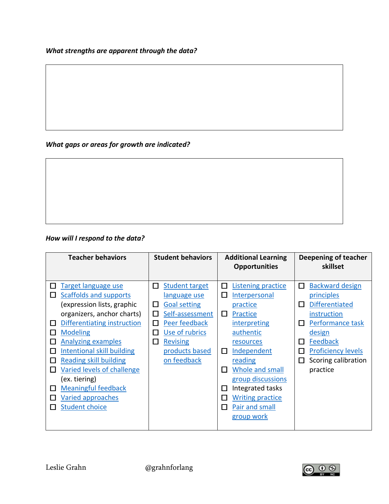*What strengths are apparent through the data?*

## *What gaps or areas for growth are indicated?*

## *How will I respond to the data?*

| <b>Teacher behaviors</b>                                                                                                                                                                                                                                                                                                                                                                                                                                                   | <b>Student behaviors</b>                                                                                                                                                                                               | <b>Additional Learning</b><br><b>Opportunities</b>                                                                                                                                                                                                                                                                                 | Deepening of teacher<br>skillset                                                                                                                                                                                                              |
|----------------------------------------------------------------------------------------------------------------------------------------------------------------------------------------------------------------------------------------------------------------------------------------------------------------------------------------------------------------------------------------------------------------------------------------------------------------------------|------------------------------------------------------------------------------------------------------------------------------------------------------------------------------------------------------------------------|------------------------------------------------------------------------------------------------------------------------------------------------------------------------------------------------------------------------------------------------------------------------------------------------------------------------------------|-----------------------------------------------------------------------------------------------------------------------------------------------------------------------------------------------------------------------------------------------|
| Target language use<br>ப<br>Scaffolds and supports<br>$\Box$<br>(expression lists, graphic<br>organizers, anchor charts)<br>Differentiating instruction<br>□<br><b>Modeling</b><br>□<br><b>Analyzing examples</b><br>$\mathbf{I}$<br><b>Intentional skill building</b><br>$\mathbb{R}^n$<br><b>Reading skill building</b><br>ш<br>Varied levels of challenge<br>Ш<br>(ex. tiering)<br><b>Meaningful feedback</b><br>□<br><b>Varied approaches</b><br><b>Student choice</b> | <b>Student target</b><br>$\Box$<br>language use<br><b>Goal setting</b><br>ப<br>Self-assessment<br>П<br>Peer feedback<br>П<br>Use of rubrics<br>$\mathbb{R}^n$<br><b>Revising</b><br>Ш<br>products based<br>on feedback | <b>Listening practice</b><br>$\Box$<br>□<br>Interpersonal<br>practice<br>Practice<br>$\Box$<br><i>interpreting</i><br>authentic<br>resources<br>Independent<br>$\Box$<br>reading<br>□<br><b>Whole and small</b><br>group discussions<br>Integrated tasks<br>□<br>П<br><b>Writing practice</b><br>п<br>Pair and small<br>group work | <b>Backward design</b><br>$\Box$<br>principles<br><b>Differentiated</b><br>$\Box$<br>instruction<br>Performance task<br>$\Box$<br>design<br>Feedback<br>$\Box$<br><b>Proficiency levels</b><br>$\Box$<br>Scoring calibration<br>□<br>practice |